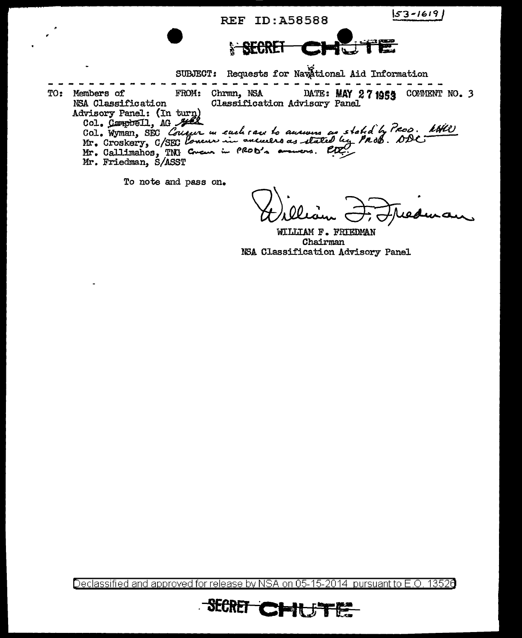**REF ID: A58588** 

 $53 - 1619$ 

**SECRET** 

SUBJECT: Requests for Navational Aid Information . . . . . . . . . . . FROM: Chrmn, NSA TO: DATE: MAY 27 1955 COMMENT NO. 3 Members of NSA Classification Classification Advisory Panel Advisory Panel: (In turn)<br>Col. Campbell, AG 2002<br>Col. Wyman, SEC Concur in each race to auswing as stated by PROD. With<br>Mr. Croskery, C/SEC Loneur in ancience as stated by PROB. ODC. Mr. Friedman, S/ASST

To note and pass on.

WILLIAM F. FRIEDMAN Chairman NSA Classification Advisory Panel

Declassified and approved for release by NSA on 05-15-2014 pursuant to E.O. 13526

**SECRET CHILS**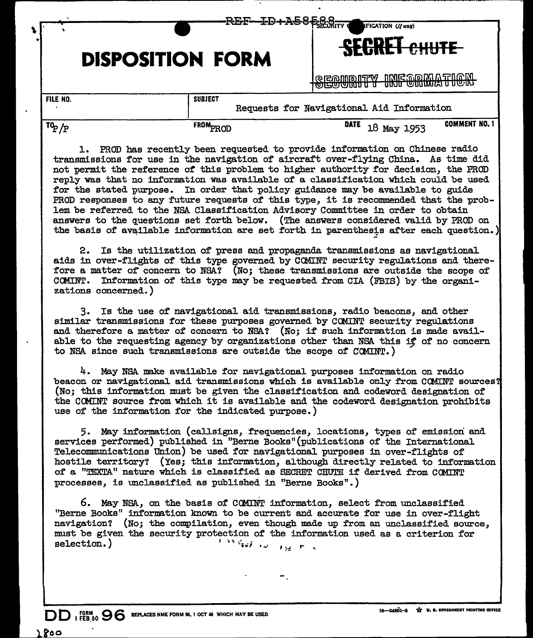|                                                                         | <b>≁⋖⋿₽──上</b> ⋑ <del>↑₳⋑</del> ⋖₱⋦⋌⋠⋷<br><b>DISPOSITION FORM</b> |  |  |  |                      |                                                                          |  | <b>IFICATION (If any)</b><br><b>SEGRET CHUTE</b> |             |             |  |                                                     |
|-------------------------------------------------------------------------|-------------------------------------------------------------------|--|--|--|----------------------|--------------------------------------------------------------------------|--|--------------------------------------------------|-------------|-------------|--|-----------------------------------------------------|
|                                                                         |                                                                   |  |  |  |                      |                                                                          |  | ுயுபாக                                           |             |             |  | I@G@MDDIFFY_IMG@@MATIOM<br>לאשט נוגש שאופטיש איט נו |
| FILE NO.<br><b>SUBJECT</b><br>Requests for Navigational Aid Information |                                                                   |  |  |  |                      |                                                                          |  |                                                  |             |             |  |                                                     |
| $T^0P/P$                                                                |                                                                   |  |  |  | FROM <sub>PROD</sub> |                                                                          |  |                                                  | <b>DATE</b> | 18 May 1953 |  | <b>COMMENT NO. 1</b>                                |
|                                                                         |                                                                   |  |  |  |                      | PROD has recently been requested to provide information on Chinese radio |  |                                                  |             |             |  |                                                     |

transmissions for use in the navigation of aircraft over-flying China. As time did not permit the reference of this problem to higher authority for decision, the PROD reply was tbat no information was available of a classification which could be used for the stated purpose. In order that policy guidance may be available to guide PROD responses to any future requests of this type, it is recommended that the problem be referred to the NSA Classification Advisory Committee in order to obtain answers to the questions set forth below. (The answers considered valid by PROD on the basis of available information are set forth in parenthesis after each question.)

2. Is the utilization of press and propaganda transmissions as navigational aids in over-flights of' this type governed by CQMINT security regulations and therefore a matter of concern to NSA? (No; these transmissions are outside the scope of CGMINT. Information of this type may be requested from CIA (FBIS) by the organizations concerned.)

3. Is the use of navigational aid transmissions, radio beacons, and other similar transmissions for these purposes governed by CCMINT security regulations and therefore a matter of concern to NSA? (No; if such information is made available to the requesting agency by organizations other than NSA this if of no concern to NSA since such transmissions are outside the scope of CCNINT.)

4. May NSA make available for navigational purposes information on radio beacon or navigational aid transmissions which is available only from COMINT sources? (No; this information must be given the classification and codeword designation of' the CCMLNT source f'rom which it is available and the codeword designation prohibits use of the information for the indicated purpose.)

5. May information (callsigns, frequencies, locations, types of' emission and services performed) published in "Berne Books" (publications of the International Telecommunications Union) be used for navigational purposes in over-flights of' hostile territory? (Yes; this information, although directly related to information of a "TEXTA" nature which is classified as SECRET CHUTE if derived from COMINT processes, is unclassified as published in "Berne Books".)

6. May NSA, on the basis of CCMINT information, select from unclassified "Berne Books" information known to be current and accurate for use in over-flight navigation? (No; the compilation, even though made up from an unclassified source, must be given the security protection of the information used as a criterion for selection.)  $\sum_{i=1}^n a_i$  is  $\sum_{i=1}^n a_i$ 

 $\bf{DD}$   $_{\rm t}$  FORM  $_{\rm 9}$   $\bf{96}$  replaces nme form 96. 1 oct 48 which may be used